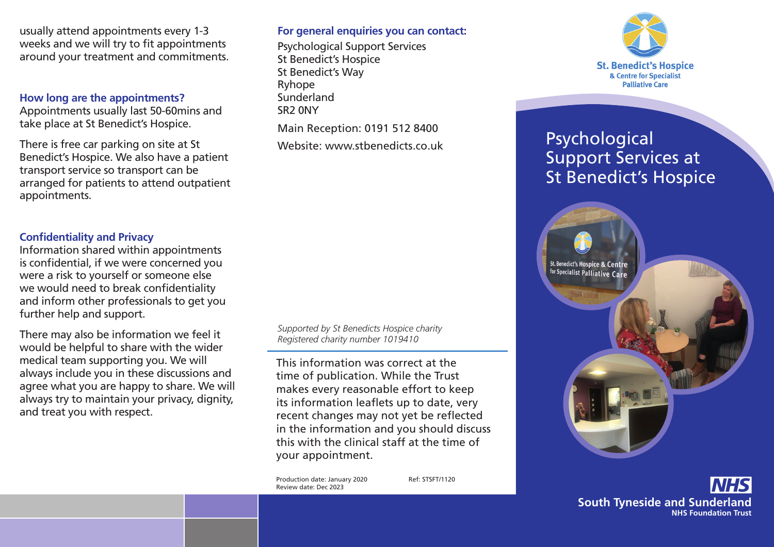usually attend appointments every 1-3 weeks and we will try to fit appointments around your treatment and commitments.

#### **How long are the appointments?**

Appointments usually last 50-60mins and take place at St Benedict's Hospice.

There is free car parking on site at St Benedict's Hospice. We also have a patient transport service so transport can be arranged for patients to attend outpatient appointments.

### **Confidentiality and Privacy**

Information shared within appointments is confidential, if we were concerned you were a risk to yourself or someone else we would need to break confidentiality and inform other professionals to get you further help and support.

There may also be information we feel it would be helpful to share with the wider medical team supporting you. We will always include you in these discussions and agree what you are happy to share. We will always try to maintain your privacy, dignity, and treat you with respect.

# **For general enquiries you can contact:**

Psychological Support Services St Benedict's Hospice St Benedict's Way Ryhope Sunderland SR2 0NY Main Reception: 0191 512 8400

Website: www.stbenedicts.co.uk



This information was correct at the time of publication. While the Trust makes every reasonable effort to keep its information leaflets up to date, very recent changes may not yet be reflected in the information and you should discuss this with the clinical staff at the time of your appointment.

Production date: January 2020 Ref: STSFT/1120 Review date: Dec 2023



# Psychological Support Services at St Benedict's Hospice